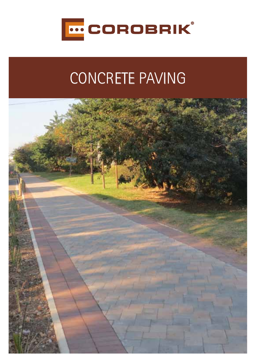

## CONCRETE PAVING

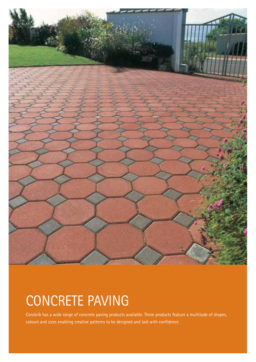

## CONCRETE PAVING

Corobrik has a wide range of concrete paving products available. These products feature a multitude of shapes, colours and sizes enabling creative patterns to be designed and laid with confidence.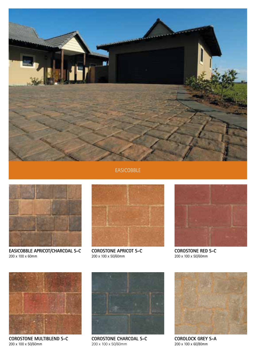

EASICOBBLE



**EASICOBBLE APRICOT/CHARCOAL S-C** 200 x 100 x 60mm



**COROSTONE APRICOT S-C** 200 x 100 x 50/60mm



**COROSTONE RED S-C** 200 x 100 x 50/60mm



**COROSTONE MULTIBLEND S-C** 200 x 100 x 50/60mm



**COROSTONE CHARCOAL S-C** 200 x 100 x 50/60mm



**COROLOCK GREY S-A** 200 x 100 x 60/80mm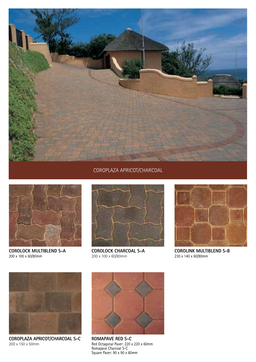

## COROPLAZA APRICOT/CHARCOAL



**COROLOCK MULTIBLEND S-A** 200 x 100 x 60/80mm



**COROLOCK CHARCOAL S-A** 200 x 100 x 60/80mm



**COROLINK MULTIBLEND S-B** 230 x 140 x 60/80mm



**COROPLAZA APRICOT/CHARCOAL S-C** 200 x 150 x 50mm



**ROMAPAVE RED S-C** Red Octagonal Paver: 220 x 220 x 60mm Romapave Charcoal S-C Square Paver: 90 x 90 x 60mm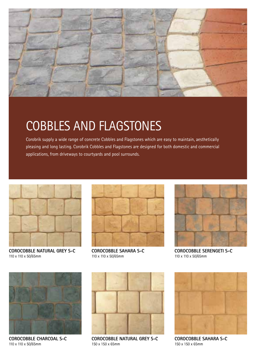

## COBBLES AND FLAGSTONES

Corobrik supply a wide range of concrete Cobbles and Flagstones which are easy to maintain, aesthetically pleasing and long lasting. Corobrik Cobbles and Flagstones are designed for both domestic and commercial applications, from driveways to courtyards and pool surrounds.



**COROCOBBLE NATURAL GREY S-C** 110 x 110 x 50/65mm



**COROCOBBLE SAHARA S-C** 110 x 110 x 50/65mm



**COROCOBBLE SERENGETI S-C** 110 x 110 x 50/65mm



**COROCOBBLE CHARCOAL S-C** 110 x 110 x 50/65mm



**COROCOBBLE NATURAL GREY S-C** 150 x 150 x 65mm



**COROCOBBLE SAHARA S-C** 150 x 150 x 65mm